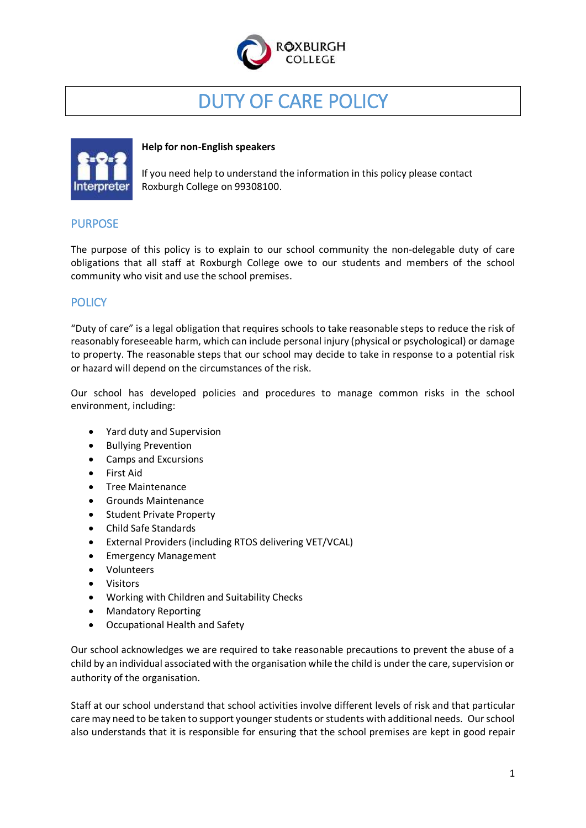

# DUTY OF CARE POLICY



#### **Help for non-English speakers**

If you need help to understand the information in this policy please contact Roxburgh College on 99308100.

## PURPOSE

The purpose of this policy is to explain to our school community the non-delegable duty of care obligations that all staff at Roxburgh College owe to our students and members of the school community who visit and use the school premises.

## **POLICY**

"Duty of care" is a legal obligation that requires schools to take reasonable steps to reduce the risk of reasonably foreseeable harm, which can include personal injury (physical or psychological) or damage to property. The reasonable steps that our school may decide to take in response to a potential risk or hazard will depend on the circumstances of the risk.

Our school has developed policies and procedures to manage common risks in the school environment, including:

- Yard duty and Supervision
- Bullying Prevention
- Camps and Excursions
- First Aid
- **•** Tree Maintenance
- Grounds Maintenance
- Student Private Property
- Child Safe Standards
- External Providers (including RTOS delivering VET/VCAL)
- **•** Emergency Management
- Volunteers
- Visitors
- Working with Children and Suitability Checks
- Mandatory Reporting
- Occupational Health and Safety

Our school acknowledges we are required to take reasonable precautions to prevent the abuse of a child by an individual associated with the organisation while the child is under the care, supervision or authority of the organisation.

Staff at our school understand that school activities involve different levels of risk and that particular care may need to be taken to support younger students or students with additional needs. Our school also understands that it is responsible for ensuring that the school premises are kept in good repair